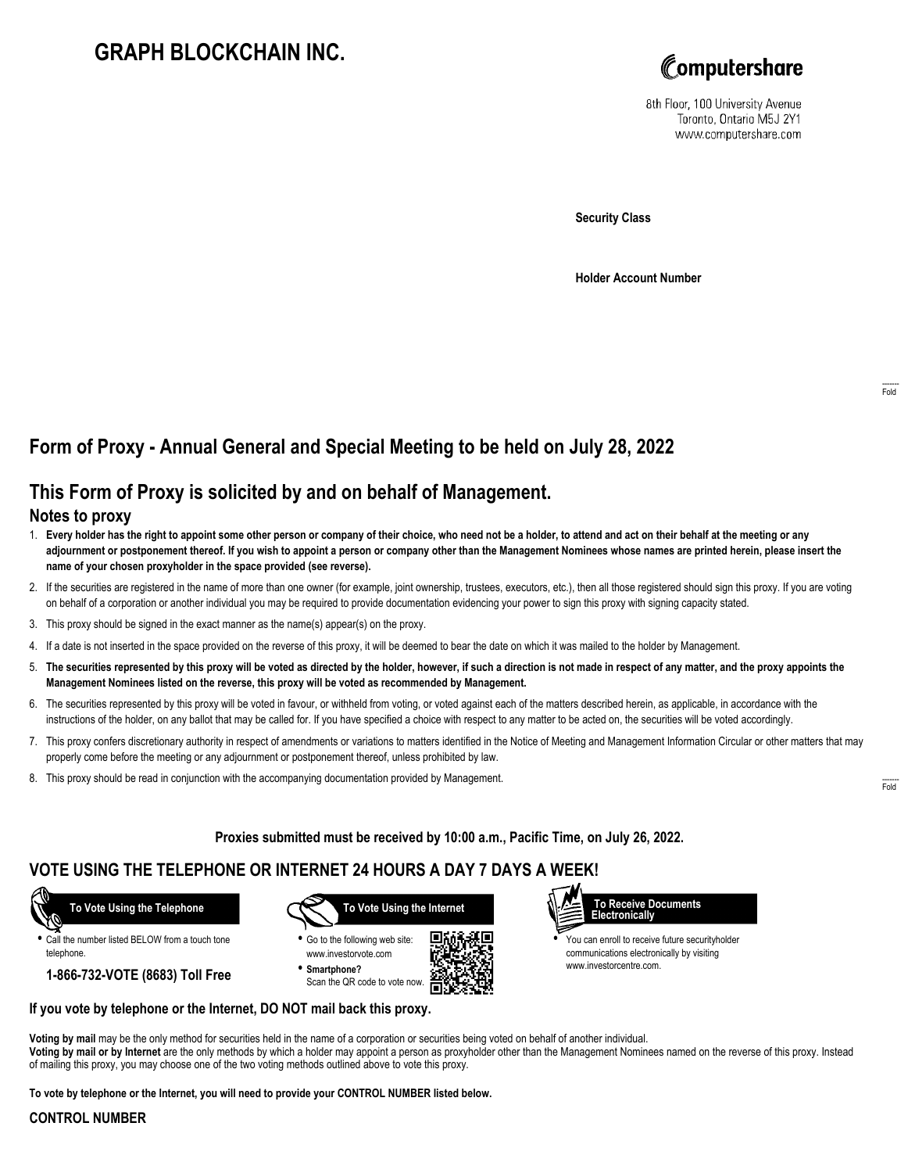# **GRAPH BLOCKCHAIN INC.**



8th Floor, 100 University Avenue Toronto, Ontario M5J 2Y1 www.computershare.com

**Security Class**

**Holder Account Number**

## **Form of Proxy - Annual General and Special Meeting to be held on July 28, 2022**

## **This Form of Proxy is solicited by and on behalf of Management.**

#### **Notes to proxy**

- 1. **Every holder has the right to appoint some other person or company of their choice, who need not be a holder, to attend and act on their behalf at the meeting or any adjournment or postponement thereof. If you wish to appoint a person or company other than the Management Nominees whose names are printed herein, please insert the name of your chosen proxyholder in the space provided (see reverse).**
- 2. If the securities are registered in the name of more than one owner (for example, joint ownership, trustees, executors, etc.), then all those registered should sign this proxy. If you are voting on behalf of a corporation or another individual you may be required to provide documentation evidencing your power to sign this proxy with signing capacity stated.
- 3. This proxy should be signed in the exact manner as the name(s) appear(s) on the proxy.
- 4. If a date is not inserted in the space provided on the reverse of this proxy, it will be deemed to bear the date on which it was mailed to the holder by Management.
- 5. **The securities represented by this proxy will be voted as directed by the holder, however, if such a direction is not made in respect of any matter, and the proxy appoints the Management Nominees listed on the reverse, this proxy will be voted as recommended by Management.**
- 6. The securities represented by this proxy will be voted in favour, or withheld from voting, or voted against each of the matters described herein, as applicable, in accordance with the instructions of the holder, on any ballot that may be called for. If you have specified a choice with respect to any matter to be acted on, the securities will be voted accordingly.
- 7. This proxy confers discretionary authority in respect of amendments or variations to matters identified in the Notice of Meeting and Management Information Circular or other matters that may properly come before the meeting or any adjournment or postponement thereof, unless prohibited by law.
- 8. This proxy should be read in conjunction with the accompanying documentation provided by Management.

**Proxies submitted must be received by 10:00 a.m., Pacific Time, on July 26, 2022.**

### **VOTE USING THE TELEPHONE OR INTERNET 24 HOURS A DAY 7 DAYS A WEEK!**

 **To Vote Using the Telephone**

**•** Call the number listed BELOW from a touch tone telephone.

**1-866-732-VOTE (8683) Toll Free**



**•** Go to the following web site: www.investorvote.com **• Smartphone?**

Scan the QR code to vote now.





**•** You can enroll to receive future securityholder communications electronically by visiting www.investorcentre.com.

#### **If you vote by telephone or the Internet, DO NOT mail back this proxy.**

**Voting by mail** may be the only method for securities held in the name of a corporation or securities being voted on behalf of another individual. **Voting by mail or by Internet** are the only methods by which a holder may appoint a person as proxyholder other than the Management Nominees named on the reverse of this proxy. Instead of mailing this proxy, you may choose one of the two voting methods outlined above to vote this proxy.

**To vote by telephone or the Internet, you will need to provide your CONTROL NUMBER listed below.**

#### **CONTROL NUMBER**